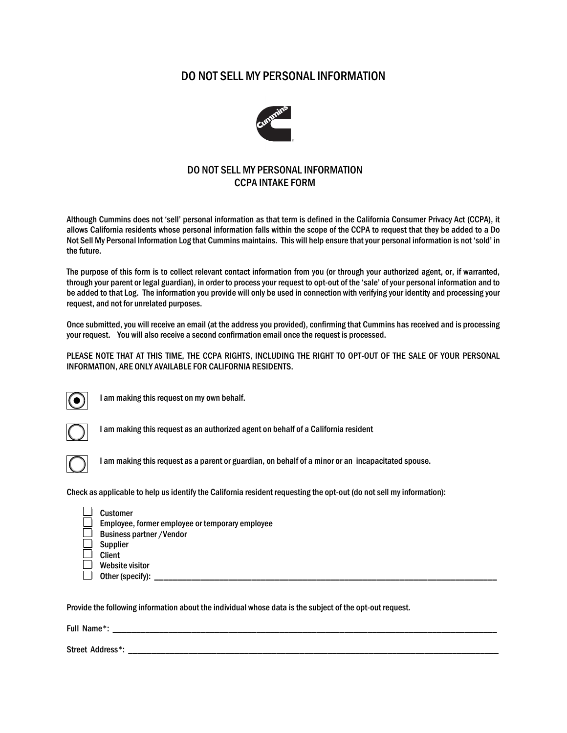## DO NOT SELL MY PERSONAL INFORMATION



## DO NOT SELL MY PERSONAL INFORMATION CCPA INTAKE FORM

Although Cummins does not 'sell' personal information as that term is defined in the California Consumer Privacy Act (CCPA), it allows California residents whose personal information falls within the scope of the CCPA to request that they be added to a Do Not Sell My Personal Information Log that Cummins maintains. This will help ensure that your personal information is not 'sold' in the future.

The purpose of this form is to collect relevant contact information from you (or through your authorized agent, or, if warranted, through your parent or legal guardian), in order to process your request to opt-out of the 'sale' of your personal information and to be added to that Log. The information you provide will only be used in connection with verifying your identity and processing your request, and not for unrelated purposes.

Once submitted, you will receive an email (at the address you provided), confirming that Cummins has received and is processing your request. You will also receive a second confirmation email once the request is processed.

PLEASE NOTE THAT AT THIS TIME, THE CCPA RIGHTS, INCLUDING THE RIGHT TO OPT-OUT OF THE SALE OF YOUR PERSONAL INFORMATION, ARE ONLY AVAILABLE FOR CALIFORNIA RESIDENTS.



I am making this request on my own behalf.



I am making this request as an authorized agent on behalf of a California resident



I am making this request as a parent or guardian, on behalf of a minor or an incapacitated spouse.

Check as applicable to help us identify the California resident requesting the opt-out (do not sell my information):

| Customer                                                |
|---------------------------------------------------------|
| $\perp$ Employee, former employee or temporary employee |
| $\equiv$ Business partner / Vendor                      |
| Supplier                                                |
| <b>Client</b>                                           |
| Website visitor                                         |
| $\Box$ Other (specify):                                 |
|                                                         |

Provide the following information about the individual whose data is the subject of the opt-out request.

Full Name\*: \_\_\_\_\_\_\_\_\_\_\_\_\_\_\_\_\_\_\_\_\_\_\_\_\_\_\_\_\_\_\_\_\_\_\_\_\_\_\_\_\_\_\_\_\_\_\_\_\_\_\_\_\_\_\_\_\_\_\_\_\_\_\_\_\_\_\_\_\_\_\_\_\_\_\_\_\_\_\_\_\_\_\_

Street Address\*: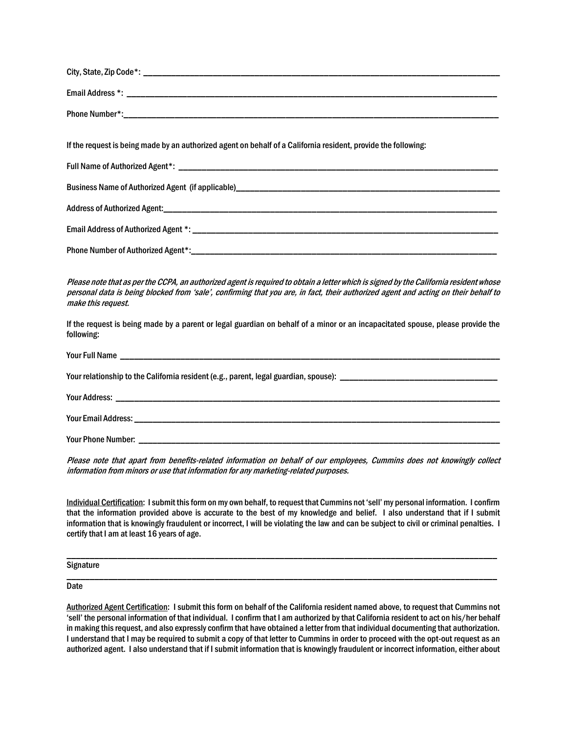| If the request is being made by an authorized agent on behalf of a California resident, provide the following:                                                                                                                                                                                    |  |
|---------------------------------------------------------------------------------------------------------------------------------------------------------------------------------------------------------------------------------------------------------------------------------------------------|--|
|                                                                                                                                                                                                                                                                                                   |  |
|                                                                                                                                                                                                                                                                                                   |  |
|                                                                                                                                                                                                                                                                                                   |  |
|                                                                                                                                                                                                                                                                                                   |  |
|                                                                                                                                                                                                                                                                                                   |  |
| Please note that as per the CCPA, an authorized agent is required to obtain a letter which is signed by the California resident whose<br>personal data is being blocked from 'sale', confirming that you are, in fact, their authorized agent and acting on their behalf to<br>make this request. |  |
| If the request is being made by a parent or legal guardian on behalf of a minor or an incapacitated spouse, please provide the<br>following:                                                                                                                                                      |  |
|                                                                                                                                                                                                                                                                                                   |  |
|                                                                                                                                                                                                                                                                                                   |  |

Your Address: \_\_\_\_\_\_\_\_\_\_\_\_\_\_\_\_\_\_\_\_\_\_\_\_\_\_\_\_\_\_\_\_\_\_\_\_\_\_\_\_\_\_\_\_\_\_\_\_\_\_\_\_\_\_\_\_\_\_\_\_\_\_\_\_\_\_\_\_\_\_\_\_\_\_\_\_\_\_\_\_\_\_\_

Your Email Address: \_\_\_\_\_\_\_\_\_\_\_\_\_\_\_\_\_\_\_\_\_\_\_\_\_\_\_\_\_\_\_\_\_\_\_\_\_\_\_\_\_\_\_\_\_\_\_\_\_\_\_\_\_\_\_\_\_\_\_\_\_\_\_\_\_\_\_\_\_\_\_\_\_\_\_\_\_\_\_

Your Phone Number:

Please note that apart from benefits-related information on behalf of our employees, Cummins does not knowingly collect information from minors or use that information for any marketing-related purposes.

Individual Certification: I submit this form on my own behalf, to request that Cummins not 'sell' my personal information. I confirm that the information provided above is accurate to the best of my knowledge and belief. I also understand that if I submit information that is knowingly fraudulent or incorrect, I will be violating the law and can be subject to civil or criminal penalties. I certify that I am at least 16 years of age.

\_\_\_\_\_\_\_\_\_\_\_\_\_\_\_\_\_\_\_\_\_\_\_\_\_\_\_\_\_\_\_\_\_\_\_\_\_\_\_\_\_\_\_\_\_\_\_\_\_\_\_\_\_\_\_\_\_\_\_\_\_\_\_\_\_\_\_\_\_\_\_\_\_\_\_\_\_\_\_\_\_\_\_\_\_\_\_\_\_\_\_\_\_

\_\_\_\_\_\_\_\_\_\_\_\_\_\_\_\_\_\_\_\_\_\_\_\_\_\_\_\_\_\_\_\_\_\_\_\_\_\_\_\_\_\_\_\_\_\_\_\_\_\_\_\_\_\_\_\_\_\_\_\_\_\_\_\_\_\_\_\_\_\_\_\_\_\_\_\_\_\_\_\_\_\_\_\_\_\_\_\_\_\_\_\_\_

**Signature** 

**Date** 

Authorized Agent Certification: I submit this form on behalf of the California resident named above, to request that Cummins not 'sell' the personal information of that individual. I confirm that I am authorized by that California resident to act on his/her behalf in making this request, and also expressly confirm that have obtained a letter from that individual documenting that authorization. I understand that I may be required to submit a copy of that letter to Cummins in order to proceed with the opt-out request as an authorized agent. I also understand that if I submit information that is knowingly fraudulent or incorrect information, either about